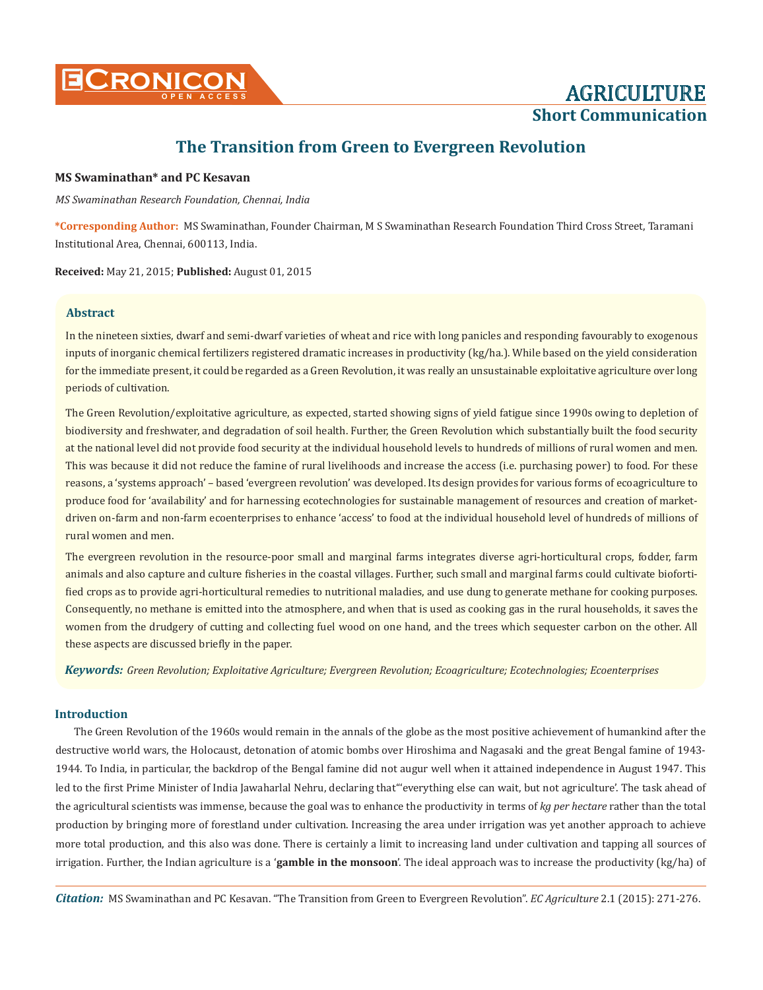

**Short Communication**

# **The Transition from Green to Evergreen Revolution**

## **MS Swaminathan\* and PC Kesavan**

*MS Swaminathan Research Foundation, Chennai, India*

**\*Corresponding Author:** MS Swaminathan, Founder Chairman, M S Swaminathan Research Foundation Third Cross Street, Taramani Institutional Area, Chennai, 600113, India.

**Received:** May 21, 2015; **Published:** August 01, 2015

## **Abstract**

In the nineteen sixties, dwarf and semi-dwarf varieties of wheat and rice with long panicles and responding favourably to exogenous inputs of inorganic chemical fertilizers registered dramatic increases in productivity (kg/ha.). While based on the yield consideration for the immediate present, it could be regarded as a Green Revolution, it was really an unsustainable exploitative agriculture over long periods of cultivation.

The Green Revolution/exploitative agriculture, as expected, started showing signs of yield fatigue since 1990s owing to depletion of biodiversity and freshwater, and degradation of soil health. Further, the Green Revolution which substantially built the food security at the national level did not provide food security at the individual household levels to hundreds of millions of rural women and men. This was because it did not reduce the famine of rural livelihoods and increase the access (i.e. purchasing power) to food. For these reasons, a 'systems approach' – based 'evergreen revolution' was developed. Its design provides for various forms of ecoagriculture to produce food for 'availability' and for harnessing ecotechnologies for sustainable management of resources and creation of marketdriven on-farm and non-farm ecoenterprises to enhance 'access' to food at the individual household level of hundreds of millions of rural women and men.

The evergreen revolution in the resource-poor small and marginal farms integrates diverse agri-horticultural crops, fodder, farm animals and also capture and culture fisheries in the coastal villages. Further, such small and marginal farms could cultivate biofortified crops as to provide agri-horticultural remedies to nutritional maladies, and use dung to generate methane for cooking purposes. Consequently, no methane is emitted into the atmosphere, and when that is used as cooking gas in the rural households, it saves the women from the drudgery of cutting and collecting fuel wood on one hand, and the trees which sequester carbon on the other. All these aspects are discussed briefly in the paper.

*Keywords: Green Revolution; Exploitative Agriculture; Evergreen Revolution; Ecoagriculture; Ecotechnologies; Ecoenterprises*

## **Introduction**

The Green Revolution of the 1960s would remain in the annals of the globe as the most positive achievement of humankind after the destructive world wars, the Holocaust, detonation of atomic bombs over Hiroshima and Nagasaki and the great Bengal famine of 1943- 1944. To India, in particular, the backdrop of the Bengal famine did not augur well when it attained independence in August 1947. This led to the first Prime Minister of India Jawaharlal Nehru, declaring that"'everything else can wait, but not agriculture'. The task ahead of the agricultural scientists was immense, because the goal was to enhance the productivity in terms of *kg per hectare* rather than the total production by bringing more of forestland under cultivation. Increasing the area under irrigation was yet another approach to achieve more total production, and this also was done. There is certainly a limit to increasing land under cultivation and tapping all sources of irrigation. Further, the Indian agriculture is a '**gamble in the monsoon**'. The ideal approach was to increase the productivity (kg/ha) of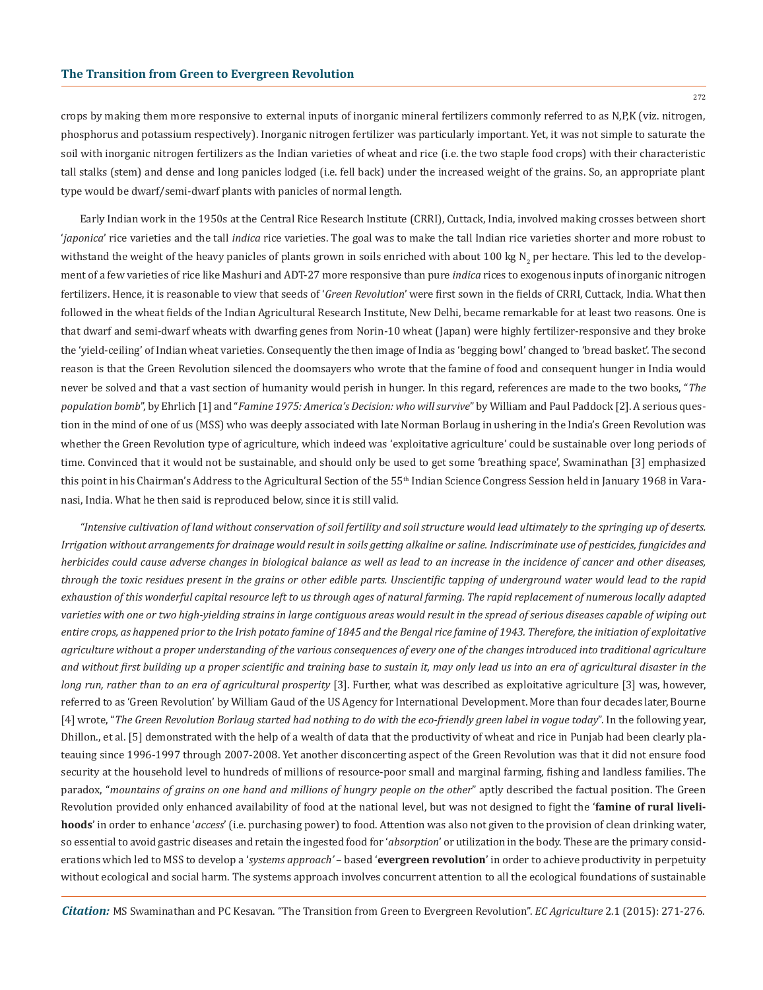272

crops by making them more responsive to external inputs of inorganic mineral fertilizers commonly referred to as N,P,K (viz. nitrogen, phosphorus and potassium respectively). Inorganic nitrogen fertilizer was particularly important. Yet, it was not simple to saturate the soil with inorganic nitrogen fertilizers as the Indian varieties of wheat and rice (i.e. the two staple food crops) with their characteristic tall stalks (stem) and dense and long panicles lodged (i.e. fell back) under the increased weight of the grains. So, an appropriate plant type would be dwarf/semi-dwarf plants with panicles of normal length.

Early Indian work in the 1950s at the Central Rice Research Institute (CRRI), Cuttack, India, involved making crosses between short '*japonica*' rice varieties and the tall *indica* rice varieties. The goal was to make the tall Indian rice varieties shorter and more robust to withstand the weight of the heavy panicles of plants grown in soils enriched with about 100 kg N<sub>2</sub> per hectare. This led to the development of a few varieties of rice like Mashuri and ADT-27 more responsive than pure *indica* rices to exogenous inputs of inorganic nitrogen fertilizers. Hence, it is reasonable to view that seeds of '*Green Revolution*' were first sown in the fields of CRRI, Cuttack, India. What then followed in the wheat fields of the Indian Agricultural Research Institute, New Delhi, became remarkable for at least two reasons. One is that dwarf and semi-dwarf wheats with dwarfing genes from Norin-10 wheat (Japan) were highly fertilizer-responsive and they broke the 'yield-ceiling' of Indian wheat varieties. Consequently the then image of India as 'begging bowl' changed to 'bread basket'. The second reason is that the Green Revolution silenced the doomsayers who wrote that the famine of food and consequent hunger in India would never be solved and that a vast section of humanity would perish in hunger. In this regard, references are made to the two books, "*The population bomb*", by Ehrlich [1] and "*Famine 1975: America's Decision: who will survive*" by William and Paul Paddock [2]. A serious question in the mind of one of us (MSS) who was deeply associated with late Norman Borlaug in ushering in the India's Green Revolution was whether the Green Revolution type of agriculture, which indeed was 'exploitative agriculture' could be sustainable over long periods of time. Convinced that it would not be sustainable, and should only be used to get some 'breathing space', Swaminathan [3] emphasized this point in his Chairman's Address to the Agricultural Section of the 55<sup>th</sup> Indian Science Congress Session held in January 1968 in Varanasi, India. What he then said is reproduced below, since it is still valid.

*"Intensive cultivation of land without conservation of soil fertility and soil structure would lead ultimately to the springing up of deserts. Irrigation without arrangements for drainage would result in soils getting alkaline or saline. Indiscriminate use of pesticides, fungicides and herbicides could cause adverse changes in biological balance as well as lead to an increase in the incidence of cancer and other diseases, through the toxic residues present in the grains or other edible parts. Unscientific tapping of underground water would lead to the rapid exhaustion of this wonderful capital resource left to us through ages of natural farming. The rapid replacement of numerous locally adapted varieties with one or two high-yielding strains in large contiguous areas would result in the spread of serious diseases capable of wiping out entire crops, as happened prior to the Irish potato famine of 1845 and the Bengal rice famine of 1943. Therefore, the initiation of exploitative agriculture without a proper understanding of the various consequences of every one of the changes introduced into traditional agriculture and without first building up a proper scientific and training base to sustain it, may only lead us into an era of agricultural disaster in the long run, rather than to an era of agricultural prosperity* [3]. Further, what was described as exploitative agriculture [3] was, however, referred to as 'Green Revolution' by William Gaud of the US Agency for International Development. More than four decades later, Bourne [4] wrote, "*The Green Revolution Borlaug started had nothing to do with the eco-friendly green label in vogue today*". In the following year, Dhillon., et al. [5] demonstrated with the help of a wealth of data that the productivity of wheat and rice in Punjab had been clearly plateauing since 1996-1997 through 2007-2008. Yet another disconcerting aspect of the Green Revolution was that it did not ensure food security at the household level to hundreds of millions of resource-poor small and marginal farming, fishing and landless families. The paradox, "*mountains of grains on one hand and millions of hungry people on the other*" aptly described the factual position. The Green Revolution provided only enhanced availability of food at the national level, but was not designed to fight the '**famine of rural livelihoods**' in order to enhance '*access*' (i.e. purchasing power) to food. Attention was also not given to the provision of clean drinking water, so essential to avoid gastric diseases and retain the ingested food for '*absorption*' or utilization in the body. These are the primary considerations which led to MSS to develop a '*systems approach'* – based '**evergreen revolution**' in order to achieve productivity in perpetuity without ecological and social harm. The systems approach involves concurrent attention to all the ecological foundations of sustainable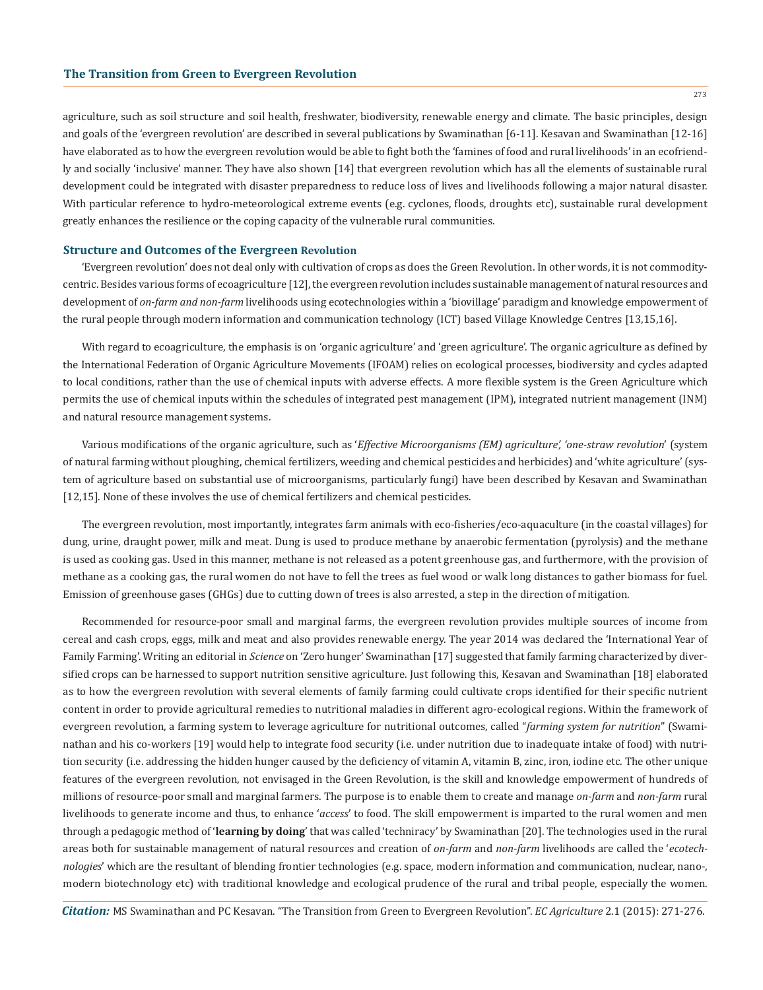273

agriculture, such as soil structure and soil health, freshwater, biodiversity, renewable energy and climate. The basic principles, design and goals of the 'evergreen revolution' are described in several publications by Swaminathan [6-11]. Kesavan and Swaminathan [12-16] have elaborated as to how the evergreen revolution would be able to fight both the 'famines of food and rural livelihoods' in an ecofriendly and socially 'inclusive' manner. They have also shown [14] that evergreen revolution which has all the elements of sustainable rural development could be integrated with disaster preparedness to reduce loss of lives and livelihoods following a major natural disaster. With particular reference to hydro-meteorological extreme events (e.g. cyclones, floods, droughts etc), sustainable rural development greatly enhances the resilience or the coping capacity of the vulnerable rural communities.

#### **Structure and Outcomes of the Evergreen Revolution**

'Evergreen revolution' does not deal only with cultivation of crops as does the Green Revolution. In other words, it is not commoditycentric. Besides various forms of ecoagriculture [12], the evergreen revolution includes sustainable management of natural resources and development of *on-farm and non-farm* livelihoods using ecotechnologies within a 'biovillage' paradigm and knowledge empowerment of the rural people through modern information and communication technology (ICT) based Village Knowledge Centres [13,15,16].

With regard to ecoagriculture, the emphasis is on 'organic agriculture' and 'green agriculture'. The organic agriculture as defined by the International Federation of Organic Agriculture Movements (IFOAM) relies on ecological processes, biodiversity and cycles adapted to local conditions, rather than the use of chemical inputs with adverse effects. A more flexible system is the Green Agriculture which permits the use of chemical inputs within the schedules of integrated pest management (IPM), integrated nutrient management (INM) and natural resource management systems.

Various modifications of the organic agriculture, such as '*Effective Microorganisms (EM) agriculture', 'one-straw revolution*' (system of natural farming without ploughing, chemical fertilizers, weeding and chemical pesticides and herbicides) and 'white agriculture' (system of agriculture based on substantial use of microorganisms, particularly fungi) have been described by Kesavan and Swaminathan [12,15]. None of these involves the use of chemical fertilizers and chemical pesticides.

The evergreen revolution, most importantly, integrates farm animals with eco-fisheries/eco-aquaculture (in the coastal villages) for dung, urine, draught power, milk and meat. Dung is used to produce methane by anaerobic fermentation (pyrolysis) and the methane is used as cooking gas. Used in this manner, methane is not released as a potent greenhouse gas, and furthermore, with the provision of methane as a cooking gas, the rural women do not have to fell the trees as fuel wood or walk long distances to gather biomass for fuel. Emission of greenhouse gases (GHGs) due to cutting down of trees is also arrested, a step in the direction of mitigation.

Recommended for resource-poor small and marginal farms, the evergreen revolution provides multiple sources of income from cereal and cash crops, eggs, milk and meat and also provides renewable energy. The year 2014 was declared the 'International Year of Family Farming'. Writing an editorial in *Science* on 'Zero hunger' Swaminathan [17] suggested that family farming characterized by diversified crops can be harnessed to support nutrition sensitive agriculture. Just following this, Kesavan and Swaminathan [18] elaborated as to how the evergreen revolution with several elements of family farming could cultivate crops identified for their specific nutrient content in order to provide agricultural remedies to nutritional maladies in different agro-ecological regions. Within the framework of evergreen revolution, a farming system to leverage agriculture for nutritional outcomes, called "*farming system for nutrition*" (Swaminathan and his co-workers [19] would help to integrate food security (i.e. under nutrition due to inadequate intake of food) with nutrition security (i.e. addressing the hidden hunger caused by the deficiency of vitamin A, vitamin B, zinc, iron, iodine etc. The other unique features of the evergreen revolution, not envisaged in the Green Revolution, is the skill and knowledge empowerment of hundreds of millions of resource-poor small and marginal farmers. The purpose is to enable them to create and manage *on-farm* and *non-farm* rural livelihoods to generate income and thus, to enhance '*access*' to food. The skill empowerment is imparted to the rural women and men through a pedagogic method of '**learning by doing**' that was called 'techniracy' by Swaminathan [20]. The technologies used in the rural areas both for sustainable management of natural resources and creation of *on-farm* and *non-farm* livelihoods are called the '*ecotechnologies*' which are the resultant of blending frontier technologies (e.g. space, modern information and communication, nuclear, nano-, modern biotechnology etc) with traditional knowledge and ecological prudence of the rural and tribal people, especially the women.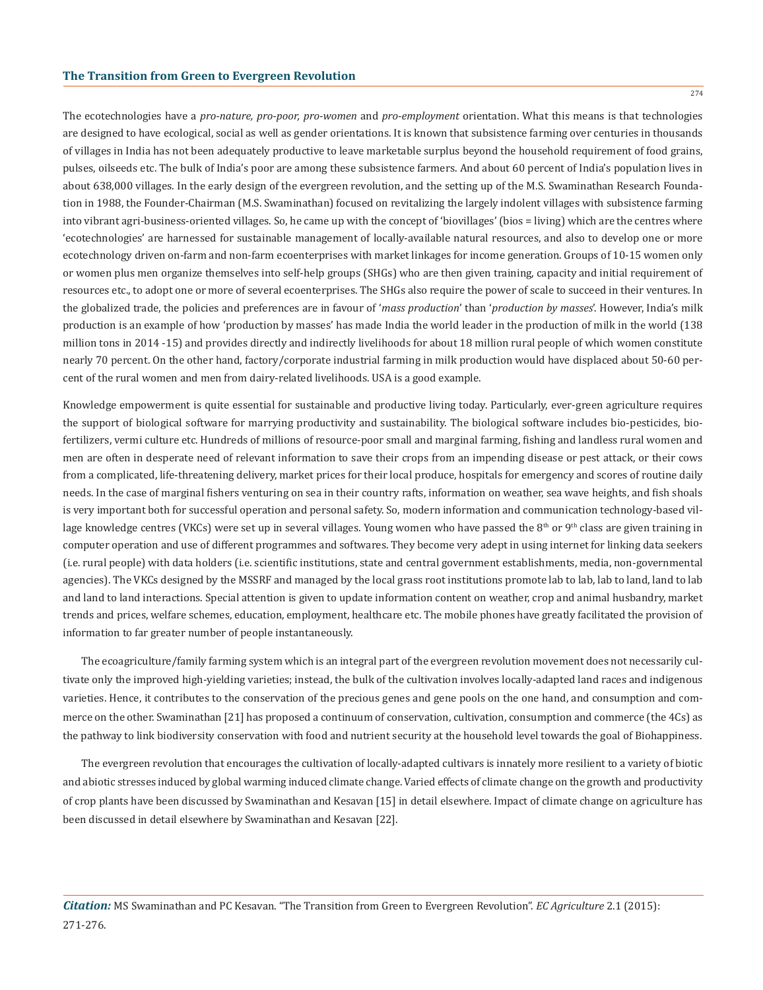The ecotechnologies have a *pro-nature, pro-poor, pro-women* and *pro-employment* orientation. What this means is that technologies are designed to have ecological, social as well as gender orientations. It is known that subsistence farming over centuries in thousands of villages in India has not been adequately productive to leave marketable surplus beyond the household requirement of food grains, pulses, oilseeds etc. The bulk of India's poor are among these subsistence farmers. And about 60 percent of India's population lives in about 638,000 villages. In the early design of the evergreen revolution, and the setting up of the M.S. Swaminathan Research Foundation in 1988, the Founder-Chairman (M.S. Swaminathan) focused on revitalizing the largely indolent villages with subsistence farming into vibrant agri-business-oriented villages. So, he came up with the concept of 'biovillages' (bios = living) which are the centres where 'ecotechnologies' are harnessed for sustainable management of locally-available natural resources, and also to develop one or more ecotechnology driven on-farm and non-farm ecoenterprises with market linkages for income generation. Groups of 10-15 women only or women plus men organize themselves into self-help groups (SHGs) who are then given training, capacity and initial requirement of resources etc., to adopt one or more of several ecoenterprises. The SHGs also require the power of scale to succeed in their ventures. In the globalized trade, the policies and preferences are in favour of '*mass production*' than '*production by masses*'. However, India's milk production is an example of how 'production by masses' has made India the world leader in the production of milk in the world (138 million tons in 2014 -15) and provides directly and indirectly livelihoods for about 18 million rural people of which women constitute nearly 70 percent. On the other hand, factory/corporate industrial farming in milk production would have displaced about 50-60 percent of the rural women and men from dairy-related livelihoods. USA is a good example.

Knowledge empowerment is quite essential for sustainable and productive living today. Particularly, ever-green agriculture requires the support of biological software for marrying productivity and sustainability. The biological software includes bio-pesticides, biofertilizers, vermi culture etc. Hundreds of millions of resource-poor small and marginal farming, fishing and landless rural women and men are often in desperate need of relevant information to save their crops from an impending disease or pest attack, or their cows from a complicated, life-threatening delivery, market prices for their local produce, hospitals for emergency and scores of routine daily needs. In the case of marginal fishers venturing on sea in their country rafts, information on weather, sea wave heights, and fish shoals is very important both for successful operation and personal safety. So, modern information and communication technology-based village knowledge centres (VKCs) were set up in several villages. Young women who have passed the 8<sup>th</sup> or 9<sup>th</sup> class are given training in computer operation and use of different programmes and softwares. They become very adept in using internet for linking data seekers (i.e. rural people) with data holders (i.e. scientific institutions, state and central government establishments, media, non-governmental agencies). The VKCs designed by the MSSRF and managed by the local grass root institutions promote lab to lab, lab to land, land to lab and land to land interactions. Special attention is given to update information content on weather, crop and animal husbandry, market trends and prices, welfare schemes, education, employment, healthcare etc. The mobile phones have greatly facilitated the provision of information to far greater number of people instantaneously.

The ecoagriculture/family farming system which is an integral part of the evergreen revolution movement does not necessarily cultivate only the improved high-yielding varieties; instead, the bulk of the cultivation involves locally-adapted land races and indigenous varieties. Hence, it contributes to the conservation of the precious genes and gene pools on the one hand, and consumption and commerce on the other. Swaminathan [21] has proposed a continuum of conservation, cultivation, consumption and commerce (the 4Cs) as the pathway to link biodiversity conservation with food and nutrient security at the household level towards the goal of Biohappiness.

The evergreen revolution that encourages the cultivation of locally-adapted cultivars is innately more resilient to a variety of biotic and abiotic stresses induced by global warming induced climate change. Varied effects of climate change on the growth and productivity of crop plants have been discussed by Swaminathan and Kesavan [15] in detail elsewhere. Impact of climate change on agriculture has been discussed in detail elsewhere by Swaminathan and Kesavan [22].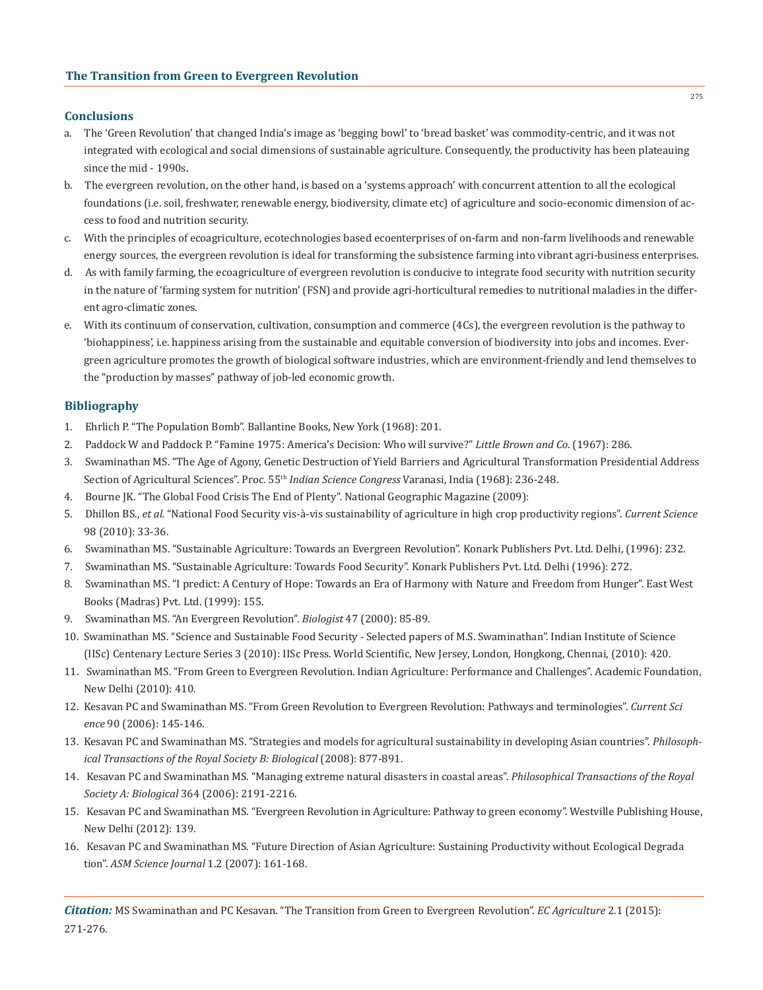# **Conclusions**

- a. The 'Green Revolution' that changed India's image as 'begging bowl' to 'bread basket' was commodity-centric, and it was not integrated with ecological and social dimensions of sustainable agriculture. Consequently, the productivity has been plateauing since the mid - 1990s.
- b. The evergreen revolution, on the other hand, is based on a 'systems approach' with concurrent attention to all the ecological foundations (i.e. soil, freshwater, renewable energy, biodiversity, climate etc) of agriculture and socio-economic dimension of ac cess to food and nutrition security.
- c. With the principles of ecoagriculture, ecotechnologies based ecoenterprises of on-farm and non-farm livelihoods and renewable energy sources, the evergreen revolution is ideal for transforming the subsistence farming into vibrant agri-business enterprises.
- d. As with family farming, the ecoagriculture of evergreen revolution is conducive to integrate food security with nutrition security in the nature of 'farming system for nutrition' (FSN) and provide agri-horticultural remedies to nutritional maladies in the differ ent agro-climatic zones.
- e. With its continuum of conservation, cultivation, consumption and commerce (4Cs), the evergreen revolution is the pathway to 'biohappiness', i.e. happiness arising from the sustainable and equitable conversion of biodiversity into jobs and incomes. Ever green agriculture promotes the growth of biological software industries, which are environment-friendly and lend themselves to the "production by masses" pathway of job-led economic growth.

# **Bibliography**

- 1. Ehrlich P. "The Population Bomb". Ballantine Books, New York (1968): 201.
- 2. Paddock W and Paddock P. "Famine 1975: America's Decision: Who will survive?" *Little Brown and Co*. (1967): 286.
- 3. Swaminathan MS. "The Age of Agony, Genetic Destruction of Yield Barriers and Agricultural Transformation Presidential Address Section of Agricultural Sciences". Proc. 55th *Indian Science Congress* Varanasi, India (1968): 236-248.
- 4. Bourne JK. "The Global Food Crisis The End of Plenty". National Geographic Magazine (2009):
- 5. Dhillon BS., *et al.* "National Food Security vis-à-vis sustainability of agriculture in high crop productivity regions". *Current Science* 98 (2010): 33-36.
- 6. Swaminathan MS. "Sustainable Agriculture: Towards an Evergreen Revolution". Konark Publishers Pvt. Ltd. Delhi, (1996): 232.
- 7. Swaminathan MS. "Sustainable Agriculture: Towards Food Security". Konark Publishers Pvt. Ltd. Delhi (1996): 272.
- 8. Swaminathan MS. "I predict: A Century of Hope: Towards an Era of Harmony with Nature and Freedom from Hunger". East West Books (Madras) Pvt. Ltd. (1999): 155.
- 9. Swaminathan MS. "An Evergreen Revolution". *Biologist* 47 (2000): 85-89.
- 10. Swaminathan MS. "Science and Sustainable Food Security Selected papers of M.S. Swaminathan". Indian Institute of Science (IISc) Centenary Lecture Series 3 (2010): IISc Press. World Scientific, New Jersey, London, Hongkong, Chennai, (2010): 420.
- 11. Swaminathan MS. "From Green to Evergreen Revolution. Indian Agriculture: Performance and Challenges". Academic Foundation, New Delhi (2010): 410.
- 12. Kesavan PC and Swaminathan MS. "From Green Revolution to Evergreen Revolution: Pathways and terminologies". *Current Sci ence* 90 (2006): 145-146.
- 13. Kesavan PC and Swaminathan MS. "Strategies and models for agricultural sustainability in developing Asian countries". *Philosoph ical Transactions of the Royal Society B: Biological (2008): 877-891.*
- 14. Kesavan PC and Swaminathan MS. "Managing extreme natural disasters in coastal areas". *Philosophical Transactions of the Royal Society A: Biological* 364 (2006): 2191-2216.
- 15. Kesavan PC and Swaminathan MS. "Evergreen Revolution in Agriculture: Pathway to green economy". Westville Publishing House, New Delhi (2012): 139.
- 16. Kesavan PC and Swaminathan MS. "Future Direction of Asian Agriculture: Sustaining Productivity without Ecological Degrada tion". *ASM Science Journal* 1.2 (2007): 161-168.